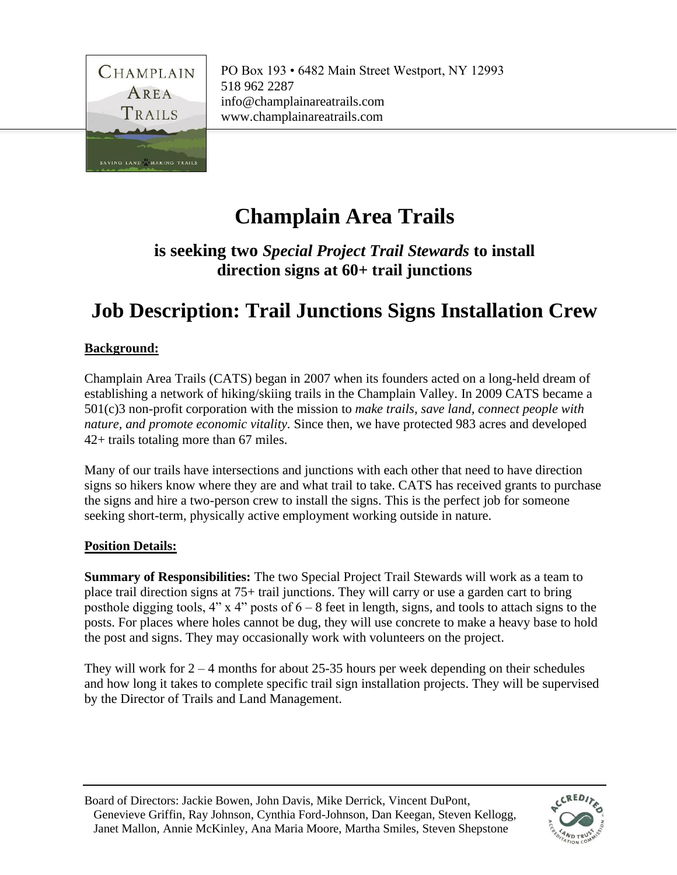

# **Champlain Area Trails**

### **is seeking two** *Special Project Trail Stewards* **to install direction signs at 60+ trail junctions**

# **Job Description: Trail Junctions Signs Installation Crew**

### **Background:**

Champlain Area Trails (CATS) began in 2007 when its founders acted on a long-held dream of establishing a network of hiking/skiing trails in the Champlain Valley. In 2009 CATS became a 501(c)3 non-profit corporation with the mission to *make trails, save land, connect people with nature, and promote economic vitality.* Since then, we have protected 983 acres and developed 42+ trails totaling more than 67 miles.

Many of our trails have intersections and junctions with each other that need to have direction signs so hikers know where they are and what trail to take. CATS has received grants to purchase the signs and hire a two-person crew to install the signs. This is the perfect job for someone seeking short-term, physically active employment working outside in nature.

#### **Position Details:**

**Summary of Responsibilities:** The two Special Project Trail Stewards will work as a team to place trail direction signs at 75+ trail junctions. They will carry or use a garden cart to bring posthole digging tools, 4" x 4" posts of  $6 - 8$  feet in length, signs, and tools to attach signs to the posts. For places where holes cannot be dug, they will use concrete to make a heavy base to hold the post and signs. They may occasionally work with volunteers on the project.

They will work for  $2 - 4$  months for about 25-35 hours per week depending on their schedules and how long it takes to complete specific trail sign installation projects. They will be supervised by the Director of Trails and Land Management.

Board of Directors: Jackie Bowen, John Davis, Mike Derrick, Vincent DuPont, Genevieve Griffin, Ray Johnson, Cynthia Ford-Johnson, Dan Keegan, Steven Kellogg, Janet Mallon, Annie McKinley, Ana Maria Moore, Martha Smiles, Steven Shepstone